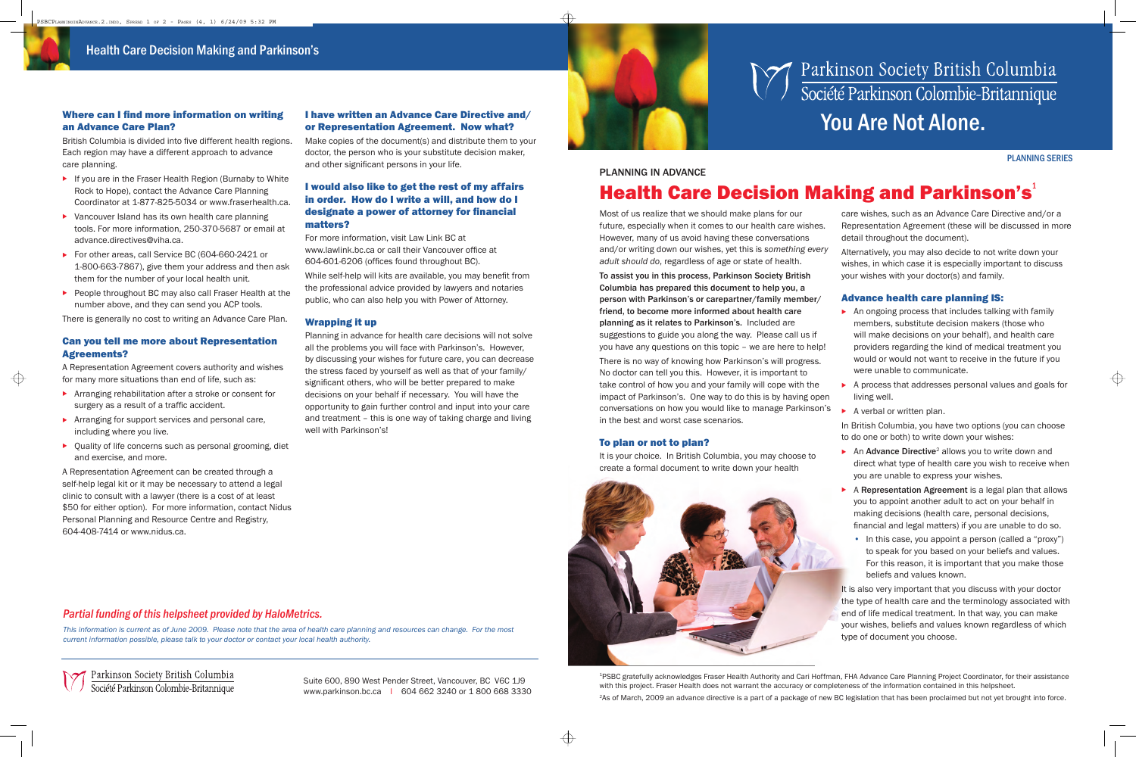**Health Care Decision Making and Parkinson's**

Suite 600, 890 West Pender Street, Vancouver, BC V6C 1J9 www.parkinson.bc.ca I 604 662 3240 or 1 800 668 3330

# **Markinson Society British Columbia**<br>Société Parkinson Colombie-Britannique



British Columbia is divided into five different health regions. Each region may have a different approach to advance care planning.

## an Advance Care Plan?

- ▶ If you are in the Fraser Health Region (Burnaby to White Rock to Hope), contact the Advance Care Planning Coordinator at 1-877-825-5034 or www.fraserhealth.ca.
- $\triangleright$  Vancouver Island has its own health care planning tools. For more information, 250-370-5687 or email at advance.directives@viha.ca.
- ▶ For other areas, call Service BC (604-660-2421 or 1-800-663-7867), give them your address and then ask them for the number of your local health unit.
- ▶ People throughout BC may also call Fraser Health at the number above, and they can send you ACP tools.

Make copies of the document(s) and distribute them to your doctor, the person who is your substitute decision maker, and other significant persons in your life.

There is generally no cost to writing an Advance Care Plan.

#### Can you tell me more about Representation Agreements?

For more information, visit Law Link BC at www.lawlink.bc.ca or call their Vancouver office at 604-601-6206 (offices found throughout BC).

A Representation Agreement covers authority and wishes for many more situations than end of life, such as:

While self-help will kits are available, you may benefit from the professional advice provided by lawyers and notaries public, who can also help you with Power of Attorney.

- . Arranging rehabilitation after a stroke or consent for surgery as a result of a traffic accident.
- Arranging for support services and personal care, including where you live.
- . Quality of life concerns such as personal grooming, diet and exercise, and more.

A Representation Agreement can be created through a self-help legal kit or it may be necessary to attend a legal clinic to consult with a lawyer (there is a cost of at least \$50 for either option). For more information, contact Nidus Personal Planning and Resource Centre and Registry, 604-408-7414 or www.nidus.ca.

#### I have written an Advance Care Directive and/ or Representation Agreement. Now what?

#### I would also like to get the rest of my affairs in order. How do I write a will, and how do I designate a power of attorney for financial matters?

#### Wrapping it up

- $\triangleright$  An ongoing process that includes talking with family members, substitute decision makers (those who will make decisions on your behalf), and health care providers regarding the kind of medical treatment you would or would not want to receive in the future if you were unable to communicate.
- . A process that addresses personal values and goals for living well.
- . A verbal or written plan.

Planning in advance for health care decisions will not solve all the problems you will face with Parkinson's. However, by discussing your wishes for future care, you can decrease the stress faced by yourself as well as that of your family/ significant others, who will be better prepared to make decisions on your behalf if necessary. You will have the opportunity to gain further control and input into your care and treatment – this is one way of taking charge and living well with Parkinson's!

- ▶ An **Advance Directive**<sup>2</sup> allows you to write down and direct what type of health care you wish to receive when you are unable to express your wishes.
- . A **Representation Agreement** is a legal plan that allows you to appoint another adult to act on your behalf in making decisions (health care, personal decisions, financial and legal matters) if you are unable to do so.
	- In this case, you appoint a person (called a "proxy") to speak for you based on your beliefs and values. For this reason, it is important that you make those beliefs and values known.

#### *Partial funding of this helpsheet provided by HaloMetrics.*

*This information is current as of June 2009. Please note that the area of health care planning and resources can change. For the most current information possible, please talk to your doctor or contact your local health authority.*

Parkinson Society British Columbia<br>Société Parkinson Colombie-Britannique

# **PLANNING IN ADVANCE**

Most of us realize that we should make plans for our future, especially when it comes to our health care wishes. However, many of us avoid having these conversations and/or writing down our wishes, yet this is *something every adult should do*, regardless of age or state of health.

**To assist you in this process, Parkinson Society British Columbia has prepared this document to help you, a person with Parkinson's or carepartner/family member/ friend, to become more informed about health care planning as it relates to Parkinson's.** Included are suggestions to guide you along the way. Please call us if you have any questions on this topic – we are here to help!

There is no way of knowing how Parkinson's will progress. No doctor can tell you this. However, it is important to take control of how you and your family will cope with the impact of Parkinson's. One way to do this is by having open conversations on how you would like to manage Parkinson's in the best and worst case scenarios.

#### To plan or not to plan?

It is your choice. In British Columbia, you may choose to create a formal document to write down your health



↔

care wishes, such as an Advance Care Directive and/or a Representation Agreement (these will be discussed in more detail throughout the document).

Alternatively, you may also decide to not write down your wishes, in which case it is especially important to discuss your wishes with your doctor(s) and family.

#### Advance health care planning IS:

In British Columbia, you have two options (you can choose to do one or both) to write down your wishes:

It is also very important that you discuss with your doctor the type of health care and the terminology associated with end of life medical treatment. In that way, you can make your wishes, beliefs and values known regardless of which type of document you choose.

<sup>2</sup>As of March, 2009 an advance directive is a part of a package of new BC legislation that has been proclaimed but not yet brought into force.

#### **PLANNING SERIES**

 $\oplus$ 

### **Health Care Decision Making and Parkinson's**

<sup>1</sup>PSBC gratefully acknowledges Fraser Health Authority and Cari Hoffman, FHA Advance Care Planning Project Coordinator, for their assistance with this project. Fraser Health does not warrant the accuracy or completeness of the information contained in this helpsheet.